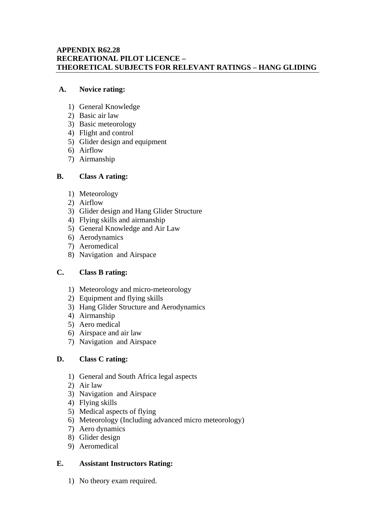#### **APPENDIX R62.28 RECREATIONAL PILOT LICENCE – THEORETICAL SUBJECTS FOR RELEVANT RATINGS – HANG GLIDING**

#### **A. Novice rating:**

- 1) General Knowledge
- 2) Basic air law
- 3) Basic meteorology
- 4) Flight and control
- 5) Glider design and equipment
- 6) Airflow
- 7) Airmanship
- **B. Class A rating:** 
	- 1) Meteorology
	- 2) Airflow
	- 3) Glider design and Hang Glider Structure
	- 4) Flying skills and airmanship
	- 5) General Knowledge and Air Law
	- 6) Aerodynamics
	- 7) Aeromedical
	- 8) Navigation and Airspace

#### **C. Class B rating:**

- 1) Meteorology and micro-meteorology
- 2) Equipment and flying skills
- 3) Hang Glider Structure and Aerodynamics
- 4) Airmanship
- 5) Aero medical
- 6) Airspace and air law
- 7) Navigation and Airspace

#### **D. Class C rating:**

- 1) General and South Africa legal aspects
- 2) Air law
- 3) Navigation and Airspace
- 4) Flying skills
- 5) Medical aspects of flying
- 6) Meteorology (Including advanced micro meteorology)
- 7) Aero dynamics
- 8) Glider design
- 9) Aeromedical

#### **E. Assistant Instructors Rating:**

1) No theory exam required.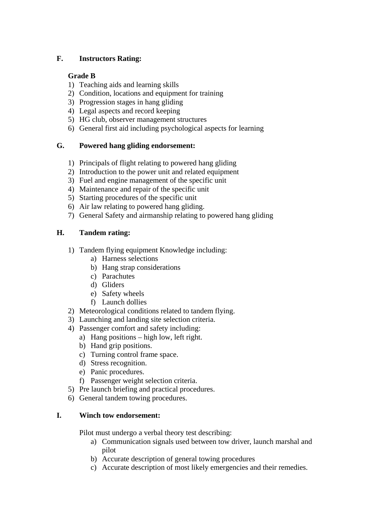## **F. Instructors Rating:**

## **Grade B**

- 1) Teaching aids and learning skills
- 2) Condition, locations and equipment for training
- 3) Progression stages in hang gliding
- 4) Legal aspects and record keeping
- 5) HG club, observer management structures
- 6) General first aid including psychological aspects for learning

## **G. Powered hang gliding endorsement:**

- 1) Principals of flight relating to powered hang gliding
- 2) Introduction to the power unit and related equipment
- 3) Fuel and engine management of the specific unit
- 4) Maintenance and repair of the specific unit
- 5) Starting procedures of the specific unit
- 6) Air law relating to powered hang gliding.
- 7) General Safety and airmanship relating to powered hang gliding

# **H. Tandem rating:**

- 1) Tandem flying equipment Knowledge including:
	- a) Harness selections
	- b) Hang strap considerations
	- c) Parachutes
	- d) Gliders
	- e) Safety wheels
	- f) Launch dollies
- 2) Meteorological conditions related to tandem flying.
- 3) Launching and landing site selection criteria.
- 4) Passenger comfort and safety including:
	- a) Hang positions high low, left right.
	- b) Hand grip positions.
	- c) Turning control frame space.
	- d) Stress recognition.
	- e) Panic procedures.
	- f) Passenger weight selection criteria.
- 5) Pre launch briefing and practical procedures.
- 6) General tandem towing procedures.

#### **I. Winch tow endorsement:**

Pilot must undergo a verbal theory test describing:

- a) Communication signals used between tow driver, launch marshal and pilot
- b) Accurate description of general towing procedures
- c) Accurate description of most likely emergencies and their remedies.